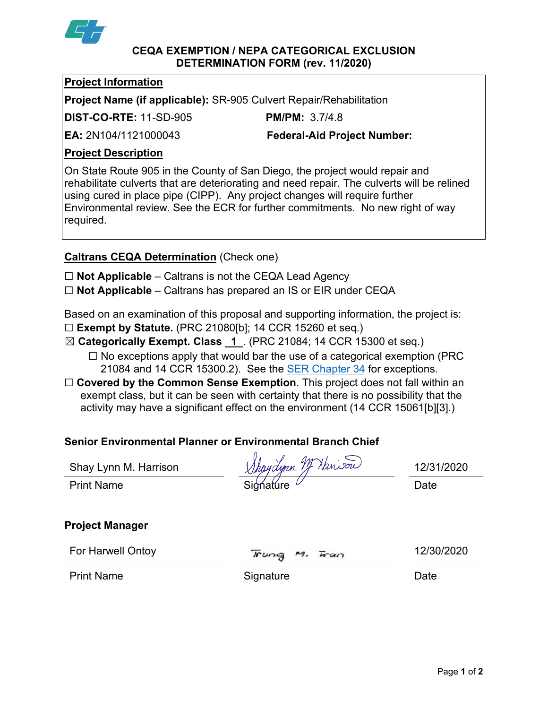

#### **CEQA EXEMPTION / NEPA CATEGORICAL EXCLUSION DETERMINATION FORM (rev. 11/2020)**

### **Project Information**

**Project Name (if applicable):** SR-905 Culvert Repair/Rehabilitation

**DIST-CO-RTE:** 11-SD-905 **PM/PM:** 3.7/4.8

**EA:** 2N104/1121000043 **Federal-Aid Project Number:**

# **Project Description**

On State Route 905 in the County of San Diego, the project would repair and rehabilitate culverts that are deteriorating and need repair. The culverts will be relined using cured in place pipe (CIPP). Any project changes will require further Environmental review. See the ECR for further commitments. No new right of way required.

## **Caltrans CEQA Determination** (Check one)

☐ **Not Applicable** – Caltrans is not the CEQA Lead Agency

☐ **Not Applicable** – Caltrans has prepared an IS or EIR under CEQA

Based on an examination of this proposal and supporting information, the project is:

- ☐ **Exempt by Statute.** (PRC 21080[b]; 14 CCR 15260 et seq.)
- ☒ **Categorically Exempt. Class 1** . (PRC 21084; 14 CCR 15300 et seq.)
	- $\Box$  No exceptions apply that would bar the use of a categorical exemption (PRC 21084 and 14 CCR 15300.2). See the **SER Chapter 34** for exceptions.
- □ **Covered by the Common Sense Exemption**. This project does not fall within an exempt class, but it can be seen with certainty that there is no possibility that the activity may have a significant effect on the environment (14 CCR 15061[b][3].)

# **Senior Environmental Planner or Environmental Branch Chief**

| Shay Lynn M. Harrison  | Shaydynn M Hanison           | 12/31/2020 |
|------------------------|------------------------------|------------|
| <b>Print Name</b>      | Signature                    | Date       |
|                        |                              |            |
| <b>Project Manager</b> |                              |            |
| For Harwell Ontoy      | Fung<br>$\overline{4}$<br>м. | 12/30/2020 |
| <b>Print Name</b>      | Signature                    | Date       |